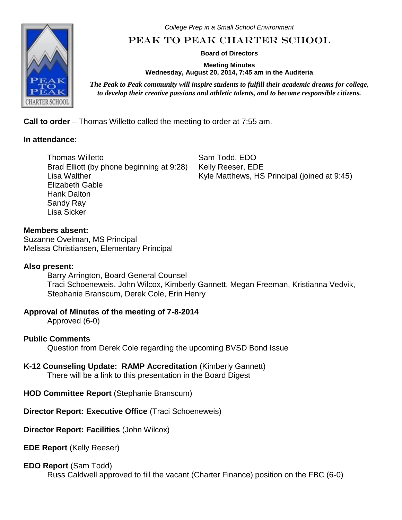*College Prep in a Small School Environment*

# Peak to Peak Charter School

**Board of Directors**

**Meeting Minutes Wednesday, August 20, 2014, 7:45 am in the Auditeria**

*The Peak to Peak community will inspire students to fulfill their academic dreams for college, to develop their creative passions and athletic talents, and to become responsible citizens.*

**Call to order** – Thomas Willetto called the meeting to order at 7:55 am.

# **In attendance**:

Thomas Willetto Brad Elliott (by phone beginning at 9:28) Lisa Walther Elizabeth Gable Hank Dalton Sandy Ray Lisa Sicker

Sam Todd, EDO Kelly Reeser, EDE Kyle Matthews, HS Principal (joined at 9:45)

**Members absent:** Suzanne Ovelman, MS Principal Melissa Christiansen, Elementary Principal

# **Also present:**

Barry Arrington, Board General Counsel Traci Schoeneweis, John Wilcox, Kimberly Gannett, Megan Freeman, Kristianna Vedvik, Stephanie Branscum, Derek Cole, Erin Henry

# **Approval of Minutes of the meeting of 7-8-2014**

Approved (6-0)

# **Public Comments**

Question from Derek Cole regarding the upcoming BVSD Bond Issue

# **K-12 Counseling Update: RAMP Accreditation** (Kimberly Gannett)

There will be a link to this presentation in the Board Digest

**HOD Committee Report** (Stephanie Branscum)

**Director Report: Executive Office** (Traci Schoeneweis)

**Director Report: Facilities** (John Wilcox)

**EDE Report** (Kelly Reeser)

# **EDO Report** (Sam Todd)

Russ Caldwell approved to fill the vacant (Charter Finance) position on the FBC (6-0)